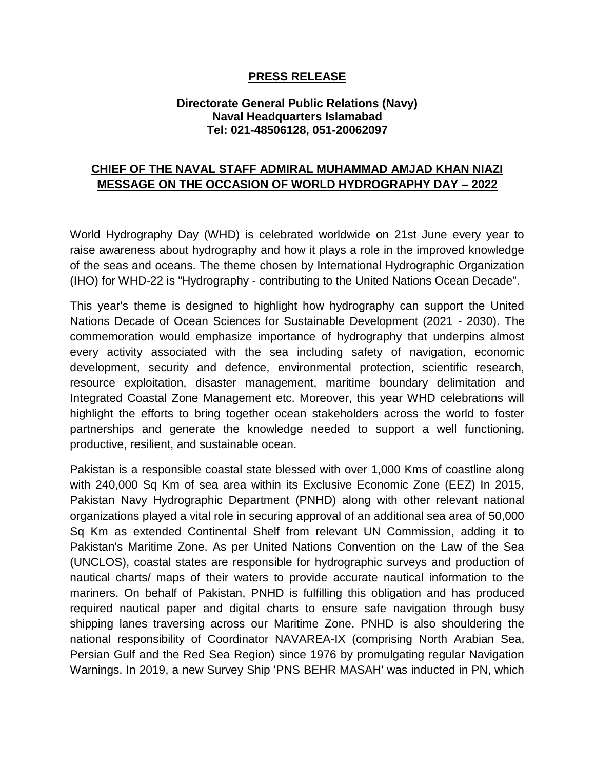## **PRESS RELEASE**

## **Directorate General Public Relations (Navy) Naval Headquarters Islamabad Tel: 021-48506128, 051-20062097**

## **CHIEF OF THE NAVAL STAFF ADMIRAL MUHAMMAD AMJAD KHAN NIAZI MESSAGE ON THE OCCASION OF WORLD HYDROGRAPHY DAY – 2022**

World Hydrography Day (WHD) is celebrated worldwide on 21st June every year to raise awareness about hydrography and how it plays a role in the improved knowledge of the seas and oceans. The theme chosen by International Hydrographic Organization (IHO) for WHD-22 is "Hydrography - contributing to the United Nations Ocean Decade".

This year's theme is designed to highlight how hydrography can support the United Nations Decade of Ocean Sciences for Sustainable Development (2021 - 2030). The commemoration would emphasize importance of hydrography that underpins almost every activity associated with the sea including safety of navigation, economic development, security and defence, environmental protection, scientific research, resource exploitation, disaster management, maritime boundary delimitation and Integrated Coastal Zone Management etc. Moreover, this year WHD celebrations will highlight the efforts to bring together ocean stakeholders across the world to foster partnerships and generate the knowledge needed to support a well functioning, productive, resilient, and sustainable ocean.

Pakistan is a responsible coastal state blessed with over 1,000 Kms of coastline along with 240,000 Sq Km of sea area within its Exclusive Economic Zone (EEZ) In 2015, Pakistan Navy Hydrographic Department (PNHD) along with other relevant national organizations played a vital role in securing approval of an additional sea area of 50,000 Sq Km as extended Continental Shelf from relevant UN Commission, adding it to Pakistan's Maritime Zone. As per United Nations Convention on the Law of the Sea (UNCLOS), coastal states are responsible for hydrographic surveys and production of nautical charts/ maps of their waters to provide accurate nautical information to the mariners. On behalf of Pakistan, PNHD is fulfilling this obligation and has produced required nautical paper and digital charts to ensure safe navigation through busy shipping lanes traversing across our Maritime Zone. PNHD is also shouldering the national responsibility of Coordinator NAVAREA-IX (comprising North Arabian Sea, Persian Gulf and the Red Sea Region) since 1976 by promulgating regular Navigation Warnings. In 2019, a new Survey Ship 'PNS BEHR MASAH' was inducted in PN, which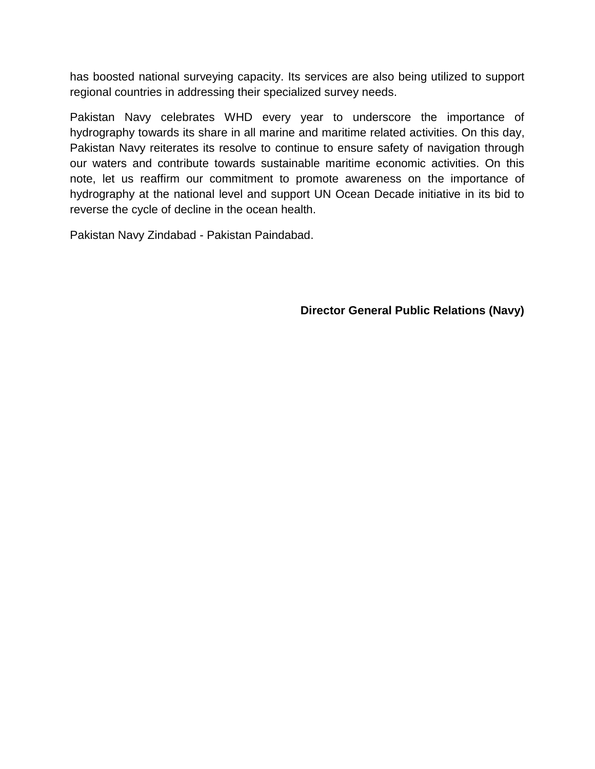has boosted national surveying capacity. Its services are also being utilized to support regional countries in addressing their specialized survey needs.

Pakistan Navy celebrates WHD every year to underscore the importance of hydrography towards its share in all marine and maritime related activities. On this day, Pakistan Navy reiterates its resolve to continue to ensure safety of navigation through our waters and contribute towards sustainable maritime economic activities. On this note, let us reaffirm our commitment to promote awareness on the importance of hydrography at the national level and support UN Ocean Decade initiative in its bid to reverse the cycle of decline in the ocean health.

Pakistan Navy Zindabad - Pakistan Paindabad.

**Director General Public Relations (Navy)**